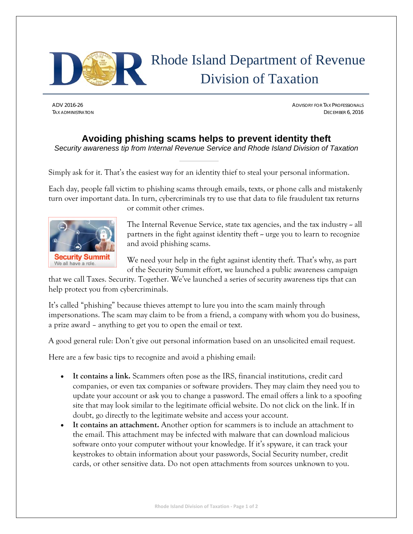

## Rhode Island Department of Revenue Division of Taxation

ADV 2016-26 ADVISORY FOR TAX PROFESSIONALS TAX ADMINISTRATION DECEMBER 6, 2016

## **Avoiding phishing scams helps to prevent identity theft**

*Security awareness tip from Internal Revenue Service and Rhode Island Division of Taxation* 

Simply ask for it. That's the easiest way for an identity thief to steal your personal information.

Each day, people fall victim to phishing scams through emails, texts, or phone calls and mistakenly turn over important data. In turn, cybercriminals try to use that data to file fraudulent tax returns or commit other crimes.



The Internal Revenue Service, state tax agencies, and the tax industry – all partners in the fight against identity theft  $\sim$  urge you to learn to recognize and avoid phishing scams.

We need your help in the fight against identity theft. That's why, as part of the Security Summit effort, we launched a public awareness campaign

that we call Taxes. Security. Together. We've launched a series of security awareness tips that can help protect you from cybercriminals.

It's called "phishing" because thieves attempt to lure you into the scam mainly through impersonations. The scam may claim to be from a friend, a company with whom you do business, a prize award – anything to get you to open the email or text.

A good general rule: Don't give out personal information based on an unsolicited email request.

Here are a few basic tips to recognize and avoid a phishing email:

- **It contains a link.** Scammers often pose as the IRS, financial institutions, credit card companies, or even tax companies or software providers. They may claim they need you to update your account or ask you to change a password. The email offers a link to a spoofing site that may look similar to the legitimate official website. Do not click on the link. If in doubt, go directly to the legitimate website and access your account.
- **It contains an attachment.** Another option for scammers is to include an attachment to the email. This attachment may be infected with malware that can download malicious software onto your computer without your knowledge. If it's spyware, it can track your keystrokes to obtain information about your passwords, Social Security number, credit cards, or other sensitive data. Do not open attachments from sources unknown to you.